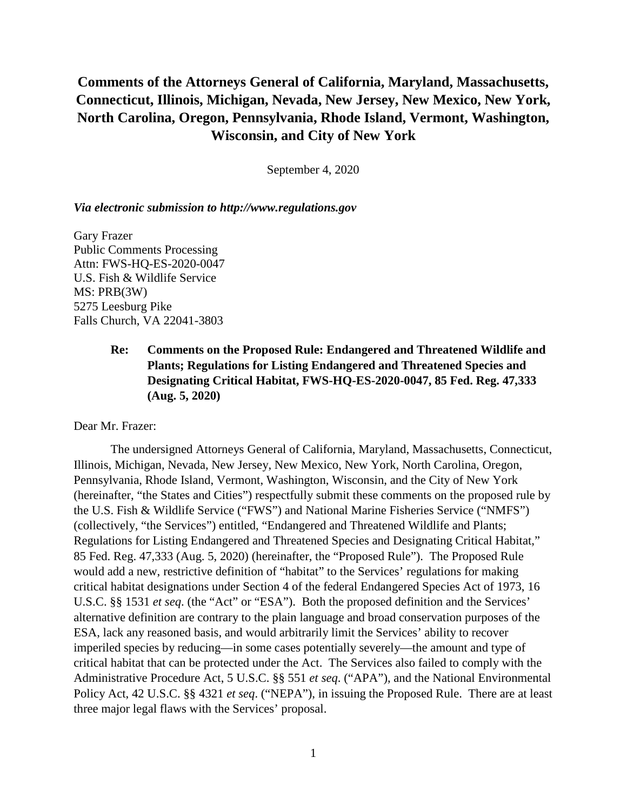# **Comments of the Attorneys General of California, Maryland, Massachusetts, Connecticut, Illinois, Michigan, Nevada, New Jersey, New Mexico, New York, North Carolina, Oregon, Pennsylvania, Rhode Island, Vermont, Washington, Wisconsin, and City of New York**

September 4, 2020

### *Via electronic submission to http://www.regulations.gov*

Gary Frazer Public Comments Processing Attn: FWS-HQ-ES-2020-0047 U.S. Fish & Wildlife Service MS: PRB(3W) 5275 Leesburg Pike Falls Church, VA 22041-3803

## **Re: Comments on the Proposed Rule: Endangered and Threatened Wildlife and Plants; Regulations for Listing Endangered and Threatened Species and Designating Critical Habitat, FWS-HQ-ES-2020-0047, 85 Fed. Reg. 47,333 (Aug. 5, 2020)**

Dear Mr. Frazer:

The undersigned Attorneys General of California, Maryland, Massachusetts, Connecticut, Illinois, Michigan, Nevada, New Jersey, New Mexico, New York, North Carolina, Oregon, Pennsylvania, Rhode Island, Vermont, Washington, Wisconsin, and the City of New York (hereinafter, "the States and Cities") respectfully submit these comments on the proposed rule by the U.S. Fish & Wildlife Service ("FWS") and National Marine Fisheries Service ("NMFS") (collectively, "the Services") entitled, "Endangered and Threatened Wildlife and Plants; Regulations for Listing Endangered and Threatened Species and Designating Critical Habitat," 85 Fed. Reg. 47,333 (Aug. 5, 2020) (hereinafter, the "Proposed Rule"). The Proposed Rule would add a new, restrictive definition of "habitat" to the Services' regulations for making critical habitat designations under Section 4 of the federal Endangered Species Act of 1973, 16 U.S.C. §§ 1531 *et seq*. (the "Act" or "ESA"). Both the proposed definition and the Services' alternative definition are contrary to the plain language and broad conservation purposes of the ESA, lack any reasoned basis, and would arbitrarily limit the Services' ability to recover imperiled species by reducing—in some cases potentially severely—the amount and type of critical habitat that can be protected under the Act. The Services also failed to comply with the Administrative Procedure Act, 5 U.S.C. §§ 551 *et seq*. ("APA"), and the National Environmental Policy Act, 42 U.S.C. §§ 4321 *et seq*. ("NEPA"), in issuing the Proposed Rule. There are at least three major legal flaws with the Services' proposal.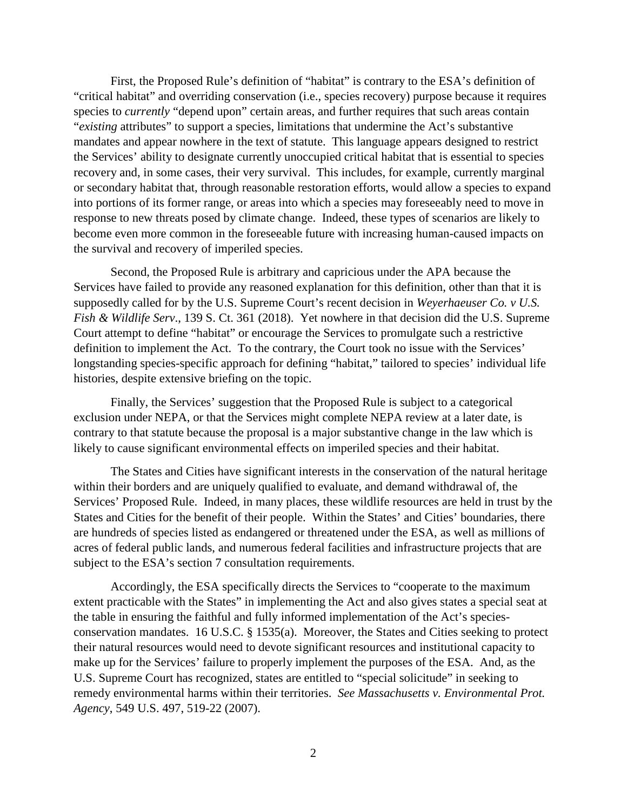First, the Proposed Rule's definition of "habitat" is contrary to the ESA's definition of "critical habitat" and overriding conservation (i.e., species recovery) purpose because it requires species to *currently* "depend upon" certain areas, and further requires that such areas contain "*existing* attributes" to support a species, limitations that undermine the Act's substantive mandates and appear nowhere in the text of statute. This language appears designed to restrict the Services' ability to designate currently unoccupied critical habitat that is essential to species recovery and, in some cases, their very survival. This includes, for example, currently marginal or secondary habitat that, through reasonable restoration efforts, would allow a species to expand into portions of its former range, or areas into which a species may foreseeably need to move in response to new threats posed by climate change. Indeed, these types of scenarios are likely to become even more common in the foreseeable future with increasing human-caused impacts on the survival and recovery of imperiled species.

Second, the Proposed Rule is arbitrary and capricious under the APA because the Services have failed to provide any reasoned explanation for this definition, other than that it is supposedly called for by the U.S. Supreme Court's recent decision in *Weyerhaeuser Co. v U.S. Fish & Wildlife Serv*., 139 S. Ct. 361 (2018). Yet nowhere in that decision did the U.S. Supreme Court attempt to define "habitat" or encourage the Services to promulgate such a restrictive definition to implement the Act. To the contrary, the Court took no issue with the Services' longstanding species-specific approach for defining "habitat," tailored to species' individual life histories, despite extensive briefing on the topic.

Finally, the Services' suggestion that the Proposed Rule is subject to a categorical exclusion under NEPA, or that the Services might complete NEPA review at a later date, is contrary to that statute because the proposal is a major substantive change in the law which is likely to cause significant environmental effects on imperiled species and their habitat.

The States and Cities have significant interests in the conservation of the natural heritage within their borders and are uniquely qualified to evaluate, and demand withdrawal of, the Services' Proposed Rule. Indeed, in many places, these wildlife resources are held in trust by the States and Cities for the benefit of their people. Within the States' and Cities' boundaries, there are hundreds of species listed as endangered or threatened under the ESA, as well as millions of acres of federal public lands, and numerous federal facilities and infrastructure projects that are subject to the ESA's section 7 consultation requirements.

Accordingly, the ESA specifically directs the Services to "cooperate to the maximum extent practicable with the States" in implementing the Act and also gives states a special seat at the table in ensuring the faithful and fully informed implementation of the Act's speciesconservation mandates. 16 U.S.C. § 1535(a). Moreover, the States and Cities seeking to protect their natural resources would need to devote significant resources and institutional capacity to make up for the Services' failure to properly implement the purposes of the ESA. And, as the U.S. Supreme Court has recognized, states are entitled to "special solicitude" in seeking to remedy environmental harms within their territories. *See Massachusetts v. Environmental Prot. Agency*, 549 U.S. 497, 519-22 (2007).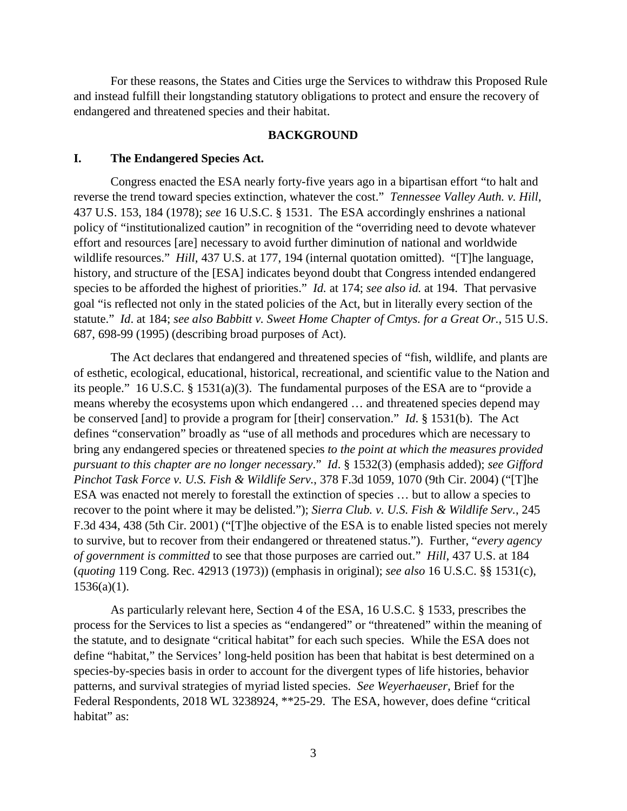For these reasons, the States and Cities urge the Services to withdraw this Proposed Rule and instead fulfill their longstanding statutory obligations to protect and ensure the recovery of endangered and threatened species and their habitat.

### **BACKGROUND**

## **I. The Endangered Species Act.**

Congress enacted the ESA nearly forty-five years ago in a bipartisan effort "to halt and reverse the trend toward species extinction, whatever the cost." *Tennessee Valley Auth. v. Hill*, 437 U.S. 153, 184 (1978); *see* 16 U.S.C. § 1531. The ESA accordingly enshrines a national policy of "institutionalized caution" in recognition of the "overriding need to devote whatever effort and resources [are] necessary to avoid further diminution of national and worldwide wildlife resources." *Hill*, 437 U.S. at 177, 194 (internal quotation omitted). "[T]he language, history, and structure of the [ESA] indicates beyond doubt that Congress intended endangered species to be afforded the highest of priorities." *Id.* at 174; *see also id.* at 194. That pervasive goal "is reflected not only in the stated policies of the Act, but in literally every section of the statute." *Id*. at 184; *see also Babbitt v. Sweet Home Chapter of Cmtys. for a Great Or.*, 515 U.S. 687, 698-99 (1995) (describing broad purposes of Act).

The Act declares that endangered and threatened species of "fish, wildlife, and plants are of esthetic, ecological, educational, historical, recreational, and scientific value to the Nation and its people." 16 U.S.C. § 1531(a)(3). The fundamental purposes of the ESA are to "provide a means whereby the ecosystems upon which endangered … and threatened species depend may be conserved [and] to provide a program for [their] conservation." *Id*. § 1531(b). The Act defines "conservation" broadly as "use of all methods and procedures which are necessary to bring any endangered species or threatened species *to the point at which the measures provided pursuant to this chapter are no longer necessary*." *Id*. § 1532(3) (emphasis added); *see Gifford Pinchot Task Force v. U.S. Fish & Wildlife Serv.*, 378 F.3d 1059, 1070 (9th Cir. 2004) ("[T]he ESA was enacted not merely to forestall the extinction of species … but to allow a species to recover to the point where it may be delisted."); *Sierra Club. v. U.S. Fish & Wildlife Serv.*, 245 F.3d 434, 438 (5th Cir. 2001) ("[T]he objective of the ESA is to enable listed species not merely to survive, but to recover from their endangered or threatened status."). Further, "*every agency of government is committed* to see that those purposes are carried out." *Hill*, 437 U.S. at 184 (*quoting* 119 Cong. Rec. 42913 (1973)) (emphasis in original); *see also* 16 U.S.C. §§ 1531(c),  $1536(a)(1)$ .

As particularly relevant here, Section 4 of the ESA, 16 U.S.C. § 1533, prescribes the process for the Services to list a species as "endangered" or "threatened" within the meaning of the statute, and to designate "critical habitat" for each such species. While the ESA does not define "habitat," the Services' long-held position has been that habitat is best determined on a species-by-species basis in order to account for the divergent types of life histories, behavior patterns, and survival strategies of myriad listed species. *See Weyerhaeuser,* Brief for the Federal Respondents, 2018 WL 3238924, \*\*25-29. The ESA, however, does define "critical habitat" as: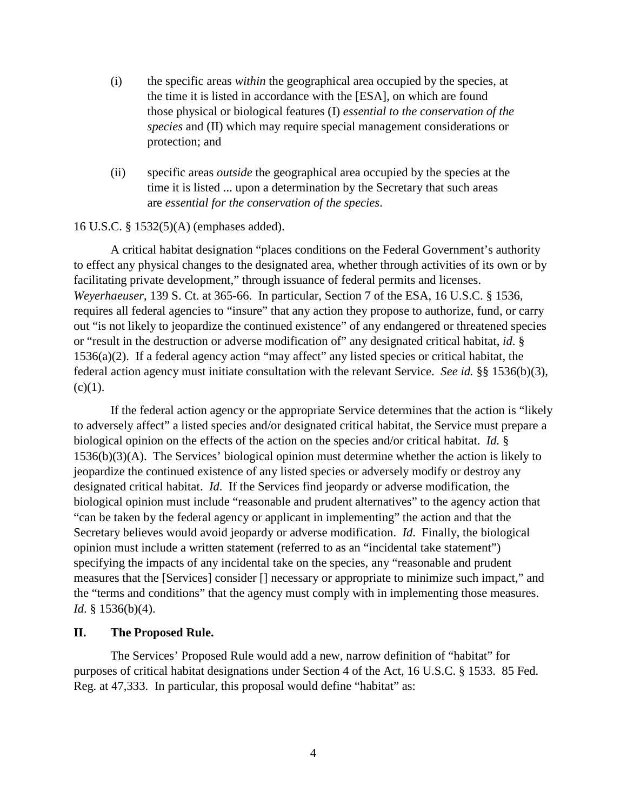- (i) the specific areas *within* the geographical area occupied by the species, at the time it is listed in accordance with the [ESA], on which are found those physical or biological features (I) *essential to the conservation of the species* and (II) which may require special management considerations or protection; and
- (ii) specific areas *outside* the geographical area occupied by the species at the time it is listed ... upon a determination by the Secretary that such areas are *essential for the conservation of the species*.

### 16 U.S.C. § 1532(5)(A) (emphases added).

A critical habitat designation "places conditions on the Federal Government's authority to effect any physical changes to the designated area, whether through activities of its own or by facilitating private development," through issuance of federal permits and licenses. *Weyerhaeuser*, 139 S. Ct. at 365-66. In particular, Section 7 of the ESA, 16 U.S.C. § 1536, requires all federal agencies to "insure" that any action they propose to authorize, fund, or carry out "is not likely to jeopardize the continued existence" of any endangered or threatened species or "result in the destruction or adverse modification of" any designated critical habitat, *id*. § 1536(a)(2). If a federal agency action "may affect" any listed species or critical habitat, the federal action agency must initiate consultation with the relevant Service. *See id.* §§ 1536(b)(3),  $(c)(1)$ .

If the federal action agency or the appropriate Service determines that the action is "likely to adversely affect" a listed species and/or designated critical habitat, the Service must prepare a biological opinion on the effects of the action on the species and/or critical habitat. *Id.* § 1536(b)(3)(A). The Services' biological opinion must determine whether the action is likely to jeopardize the continued existence of any listed species or adversely modify or destroy any designated critical habitat. *Id*. If the Services find jeopardy or adverse modification, the biological opinion must include "reasonable and prudent alternatives" to the agency action that "can be taken by the federal agency or applicant in implementing" the action and that the Secretary believes would avoid jeopardy or adverse modification. *Id*. Finally, the biological opinion must include a written statement (referred to as an "incidental take statement") specifying the impacts of any incidental take on the species, any "reasonable and prudent measures that the [Services] consider [] necessary or appropriate to minimize such impact," and the "terms and conditions" that the agency must comply with in implementing those measures. *Id*. § 1536(b)(4).

## **II. The Proposed Rule.**

The Services' Proposed Rule would add a new, narrow definition of "habitat" for purposes of critical habitat designations under Section 4 of the Act, 16 U.S.C. § 1533. 85 Fed. Reg. at 47,333. In particular, this proposal would define "habitat" as: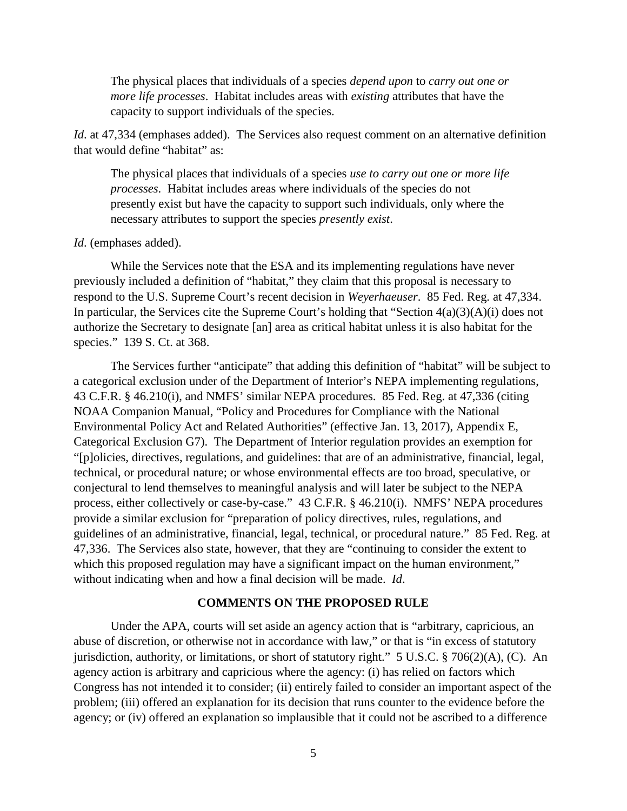The physical places that individuals of a species *depend upon* to *carry out one or more life processes*. Habitat includes areas with *existing* attributes that have the capacity to support individuals of the species.

*Id.* at 47,334 (emphases added). The Services also request comment on an alternative definition that would define "habitat" as:

The physical places that individuals of a species *use to carry out one or more life processes*. Habitat includes areas where individuals of the species do not presently exist but have the capacity to support such individuals, only where the necessary attributes to support the species *presently exist*.

#### *Id*. (emphases added).

While the Services note that the ESA and its implementing regulations have never previously included a definition of "habitat," they claim that this proposal is necessary to respond to the U.S. Supreme Court's recent decision in *Weyerhaeuser*. 85 Fed. Reg. at 47,334. In particular, the Services cite the Supreme Court's holding that "Section 4(a)(3)(A)(i) does not authorize the Secretary to designate [an] area as critical habitat unless it is also habitat for the species." 139 S. Ct. at 368.

The Services further "anticipate" that adding this definition of "habitat" will be subject to a categorical exclusion under of the Department of Interior's NEPA implementing regulations, 43 C.F.R. § 46.210(i), and NMFS' similar NEPA procedures. 85 Fed. Reg. at 47,336 (citing NOAA Companion Manual, "Policy and Procedures for Compliance with the National Environmental Policy Act and Related Authorities" (effective Jan. 13, 2017), Appendix E, Categorical Exclusion G7). The Department of Interior regulation provides an exemption for "[p]olicies, directives, regulations, and guidelines: that are of an administrative, financial, legal, technical, or procedural nature; or whose environmental effects are too broad, speculative, or conjectural to lend themselves to meaningful analysis and will later be subject to the NEPA process, either collectively or case-by-case." 43 C.F.R. § 46.210(i). NMFS' NEPA procedures provide a similar exclusion for "preparation of policy directives, rules, regulations, and guidelines of an administrative, financial, legal, technical, or procedural nature." 85 Fed. Reg. at 47,336. The Services also state, however, that they are "continuing to consider the extent to which this proposed regulation may have a significant impact on the human environment," without indicating when and how a final decision will be made. *Id*.

## **COMMENTS ON THE PROPOSED RULE**

Under the APA, courts will set aside an agency action that is "arbitrary, capricious, an abuse of discretion, or otherwise not in accordance with law," or that is "in excess of statutory jurisdiction, authority, or limitations, or short of statutory right." 5 U.S.C. § 706(2)(A), (C). An agency action is arbitrary and capricious where the agency: (i) has relied on factors which Congress has not intended it to consider; (ii) entirely failed to consider an important aspect of the problem; (iii) offered an explanation for its decision that runs counter to the evidence before the agency; or (iv) offered an explanation so implausible that it could not be ascribed to a difference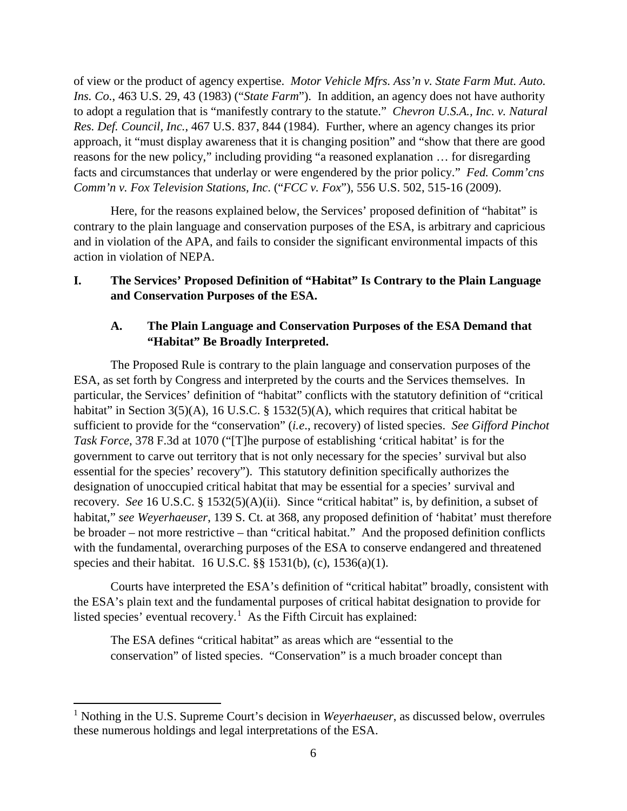of view or the product of agency expertise. *Motor Vehicle Mfrs. Ass'n v. State Farm Mut. Auto. Ins. Co.*, 463 U.S. 29, 43 (1983) ("*State Farm*"). In addition, an agency does not have authority to adopt a regulation that is "manifestly contrary to the statute." *Chevron U.S.A., Inc. v. Natural Res. Def. Council, Inc.*, 467 U.S. 837, 844 (1984). Further, where an agency changes its prior approach, it "must display awareness that it is changing position" and "show that there are good reasons for the new policy," including providing "a reasoned explanation … for disregarding facts and circumstances that underlay or were engendered by the prior policy." *Fed. Comm'cns Comm'n v. Fox Television Stations, Inc*. ("*FCC v. Fox*"), 556 U.S. 502, 515-16 (2009).

Here, for the reasons explained below, the Services' proposed definition of "habitat" is contrary to the plain language and conservation purposes of the ESA, is arbitrary and capricious and in violation of the APA, and fails to consider the significant environmental impacts of this action in violation of NEPA.

## **I. The Services' Proposed Definition of "Habitat" Is Contrary to the Plain Language and Conservation Purposes of the ESA.**

## **A. The Plain Language and Conservation Purposes of the ESA Demand that "Habitat" Be Broadly Interpreted.**

The Proposed Rule is contrary to the plain language and conservation purposes of the ESA, as set forth by Congress and interpreted by the courts and the Services themselves. In particular, the Services' definition of "habitat" conflicts with the statutory definition of "critical habitat" in Section 3(5)(A), 16 U.S.C. § 1532(5)(A), which requires that critical habitat be sufficient to provide for the "conservation" (*i.e*., recovery) of listed species. *See Gifford Pinchot Task Force*, 378 F.3d at 1070 ("[T]he purpose of establishing 'critical habitat' is for the government to carve out territory that is not only necessary for the species' survival but also essential for the species' recovery"). This statutory definition specifically authorizes the designation of unoccupied critical habitat that may be essential for a species' survival and recovery. *See* 16 U.S.C. § 1532(5)(A)(ii). Since "critical habitat" is, by definition, a subset of habitat," *see Weyerhaeuser*, 139 S. Ct. at 368, any proposed definition of 'habitat' must therefore be broader – not more restrictive – than "critical habitat." And the proposed definition conflicts with the fundamental, overarching purposes of the ESA to conserve endangered and threatened species and their habitat. 16 U.S.C. §§ 1531(b), (c), 1536(a)(1).

Courts have interpreted the ESA's definition of "critical habitat" broadly, consistent with the ESA's plain text and the fundamental purposes of critical habitat designation to provide for listed species' eventual recovery.<sup>[1](#page-5-0)</sup> As the Fifth Circuit has explained:

The ESA defines "critical habitat" as areas which are "essential to the conservation" of listed species. "Conservation" is a much broader concept than

l

<span id="page-5-0"></span><sup>&</sup>lt;sup>1</sup> Nothing in the U.S. Supreme Court's decision in *Weyerhaeuser*, as discussed below, overrules these numerous holdings and legal interpretations of the ESA.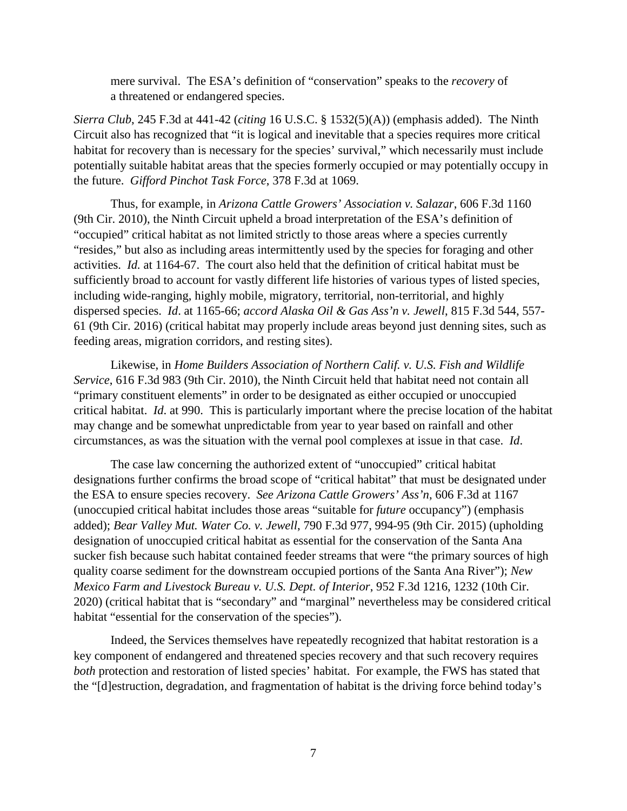mere survival. The ESA's definition of "conservation" speaks to the *recovery* of a threatened or endangered species.

*Sierra Club*, 245 F.3d at 441-42 (*citing* 16 U.S.C. § 1532(5)(A)) (emphasis added). The Ninth Circuit also has recognized that "it is logical and inevitable that a species requires more critical habitat for recovery than is necessary for the species' survival," which necessarily must include potentially suitable habitat areas that the species formerly occupied or may potentially occupy in the future. *Gifford Pinchot Task Force*, 378 F.3d at 1069.

Thus, for example, in *Arizona Cattle Growers' Association v. Salazar*, 606 F.3d 1160 (9th Cir. 2010), the Ninth Circuit upheld a broad interpretation of the ESA's definition of "occupied" critical habitat as not limited strictly to those areas where a species currently "resides," but also as including areas intermittently used by the species for foraging and other activities. *Id.* at 1164-67. The court also held that the definition of critical habitat must be sufficiently broad to account for vastly different life histories of various types of listed species, including wide-ranging, highly mobile, migratory, territorial, non-territorial, and highly dispersed species. *Id*. at 1165-66; *accord Alaska Oil & Gas Ass'n v. Jewell*, 815 F.3d 544, 557- 61 (9th Cir. 2016) (critical habitat may properly include areas beyond just denning sites, such as feeding areas, migration corridors, and resting sites).

Likewise, in *Home Builders Association of Northern Calif. v. U.S. Fish and Wildlife Service*, 616 F.3d 983 (9th Cir. 2010), the Ninth Circuit held that habitat need not contain all "primary constituent elements" in order to be designated as either occupied or unoccupied critical habitat. *Id*. at 990. This is particularly important where the precise location of the habitat may change and be somewhat unpredictable from year to year based on rainfall and other circumstances, as was the situation with the vernal pool complexes at issue in that case. *Id*.

The case law concerning the authorized extent of "unoccupied" critical habitat designations further confirms the broad scope of "critical habitat" that must be designated under the ESA to ensure species recovery. *See Arizona Cattle Growers' Ass'n*, 606 F.3d at 1167 (unoccupied critical habitat includes those areas "suitable for *future* occupancy") (emphasis added); *Bear Valley Mut. Water Co. v. Jewell*, 790 F.3d 977, 994-95 (9th Cir. 2015) (upholding designation of unoccupied critical habitat as essential for the conservation of the Santa Ana sucker fish because such habitat contained feeder streams that were "the primary sources of high quality coarse sediment for the downstream occupied portions of the Santa Ana River"); *New Mexico Farm and Livestock Bureau v. U.S. Dept. of Interior*, 952 F.3d 1216, 1232 (10th Cir. 2020) (critical habitat that is "secondary" and "marginal" nevertheless may be considered critical habitat "essential for the conservation of the species").

Indeed, the Services themselves have repeatedly recognized that habitat restoration is a key component of endangered and threatened species recovery and that such recovery requires *both* protection and restoration of listed species' habitat. For example, the FWS has stated that the "[d]estruction, degradation, and fragmentation of habitat is the driving force behind today's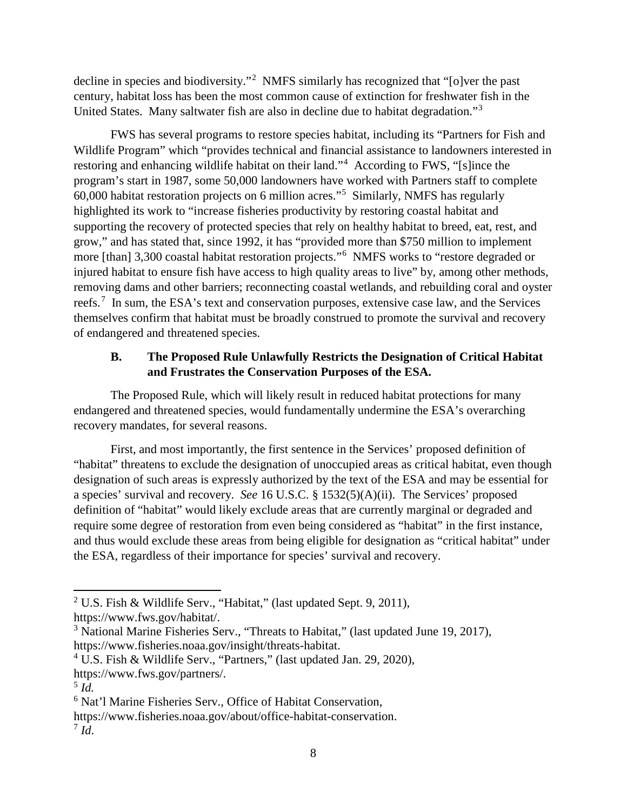decline in species and biodiversity."<sup>[2](#page-7-0)</sup> NMFS similarly has recognized that "[o]ver the past century, habitat loss has been the most common cause of extinction for freshwater fish in the United States. Many saltwater fish are also in decline due to habitat degradation."[3](#page-7-1)

FWS has several programs to restore species habitat, including its "Partners for Fish and Wildlife Program" which "provides technical and financial assistance to landowners interested in restoring and enhancing wildlife habitat on their land."<sup>[4](#page-7-2)</sup> According to FWS, "[s]ince the program's start in 1987, some 50,000 landowners have worked with Partners staff to complete 60,000 habitat restoration projects on 6 million acres."[5](#page-7-3) Similarly, NMFS has regularly highlighted its work to "increase fisheries productivity by restoring coastal habitat and supporting the recovery of protected species that rely on healthy habitat to breed, eat, rest, and grow," and has stated that, since 1992, it has "provided more than \$750 million to implement more [than] 3,300 coastal habitat restoration projects."<sup>[6](#page-7-4)</sup> NMFS works to "restore degraded or injured habitat to ensure fish have access to high quality areas to live" by, among other methods, removing dams and other barriers; reconnecting coastal wetlands, and rebuilding coral and oyster reefs.<sup>[7](#page-7-5)</sup> In sum, the ESA's text and conservation purposes, extensive case law, and the Services themselves confirm that habitat must be broadly construed to promote the survival and recovery of endangered and threatened species.

## **B. The Proposed Rule Unlawfully Restricts the Designation of Critical Habitat and Frustrates the Conservation Purposes of the ESA.**

The Proposed Rule, which will likely result in reduced habitat protections for many endangered and threatened species, would fundamentally undermine the ESA's overarching recovery mandates, for several reasons.

First, and most importantly, the first sentence in the Services' proposed definition of "habitat" threatens to exclude the designation of unoccupied areas as critical habitat, even though designation of such areas is expressly authorized by the text of the ESA and may be essential for a species' survival and recovery. *See* 16 U.S.C. § 1532(5)(A)(ii). The Services' proposed definition of "habitat" would likely exclude areas that are currently marginal or degraded and require some degree of restoration from even being considered as "habitat" in the first instance, and thus would exclude these areas from being eligible for designation as "critical habitat" under the ESA, regardless of their importance for species' survival and recovery.

 $\overline{a}$ 

<span id="page-7-0"></span><sup>2</sup> U.S. Fish & Wildlife Serv., "Habitat," (last updated Sept. 9, 2011),

https://www.fws.gov/habitat/.

<span id="page-7-1"></span><sup>&</sup>lt;sup>3</sup> National Marine Fisheries Serv., "Threats to Habitat," (last updated June 19, 2017), https://www.fisheries.noaa.gov/insight/threats-habitat.

<span id="page-7-2"></span><sup>&</sup>lt;sup>4</sup> U.S. Fish & Wildlife Serv., "Partners," (last updated Jan. 29, 2020),

https://www.fws.gov/partners/.

<span id="page-7-3"></span><sup>5</sup> *Id.*

<span id="page-7-4"></span><sup>6</sup> Nat'l Marine Fisheries Serv., Office of Habitat Conservation,

<span id="page-7-5"></span>https://www.fisheries.noaa.gov/about/office-habitat-conservation.  $^7$  *Id.*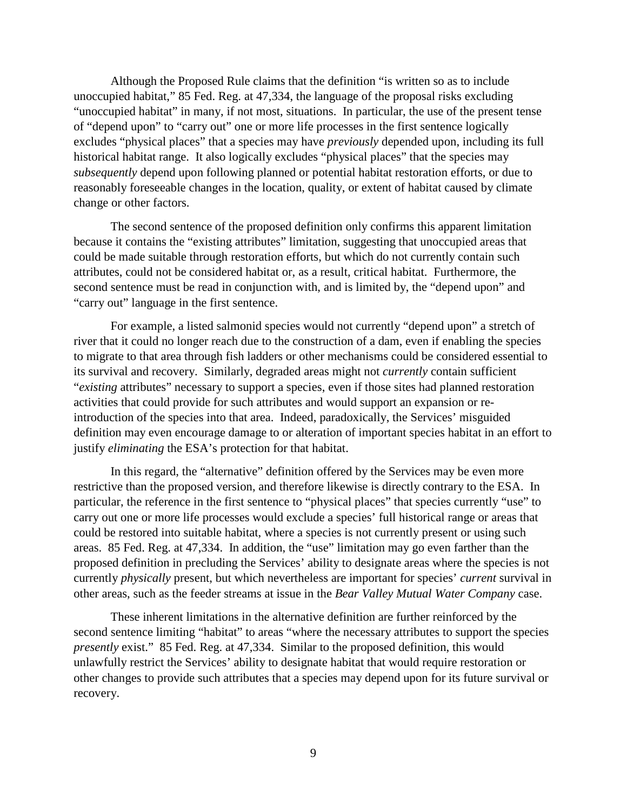Although the Proposed Rule claims that the definition "is written so as to include unoccupied habitat," 85 Fed. Reg. at 47,334, the language of the proposal risks excluding "unoccupied habitat" in many, if not most, situations. In particular, the use of the present tense of "depend upon" to "carry out" one or more life processes in the first sentence logically excludes "physical places" that a species may have *previously* depended upon, including its full historical habitat range. It also logically excludes "physical places" that the species may *subsequently* depend upon following planned or potential habitat restoration efforts, or due to reasonably foreseeable changes in the location, quality, or extent of habitat caused by climate change or other factors.

The second sentence of the proposed definition only confirms this apparent limitation because it contains the "existing attributes" limitation, suggesting that unoccupied areas that could be made suitable through restoration efforts, but which do not currently contain such attributes, could not be considered habitat or, as a result, critical habitat. Furthermore, the second sentence must be read in conjunction with, and is limited by, the "depend upon" and "carry out" language in the first sentence.

For example, a listed salmonid species would not currently "depend upon" a stretch of river that it could no longer reach due to the construction of a dam, even if enabling the species to migrate to that area through fish ladders or other mechanisms could be considered essential to its survival and recovery. Similarly, degraded areas might not *currently* contain sufficient "*existing* attributes" necessary to support a species, even if those sites had planned restoration activities that could provide for such attributes and would support an expansion or reintroduction of the species into that area. Indeed, paradoxically, the Services' misguided definition may even encourage damage to or alteration of important species habitat in an effort to justify *eliminating* the ESA's protection for that habitat.

In this regard, the "alternative" definition offered by the Services may be even more restrictive than the proposed version, and therefore likewise is directly contrary to the ESA. In particular, the reference in the first sentence to "physical places" that species currently "use" to carry out one or more life processes would exclude a species' full historical range or areas that could be restored into suitable habitat, where a species is not currently present or using such areas. 85 Fed. Reg. at 47,334. In addition, the "use" limitation may go even farther than the proposed definition in precluding the Services' ability to designate areas where the species is not currently *physically* present, but which nevertheless are important for species' *current* survival in other areas, such as the feeder streams at issue in the *Bear Valley Mutual Water Company* case.

These inherent limitations in the alternative definition are further reinforced by the second sentence limiting "habitat" to areas "where the necessary attributes to support the species *presently* exist." 85 Fed. Reg. at 47,334. Similar to the proposed definition, this would unlawfully restrict the Services' ability to designate habitat that would require restoration or other changes to provide such attributes that a species may depend upon for its future survival or recovery.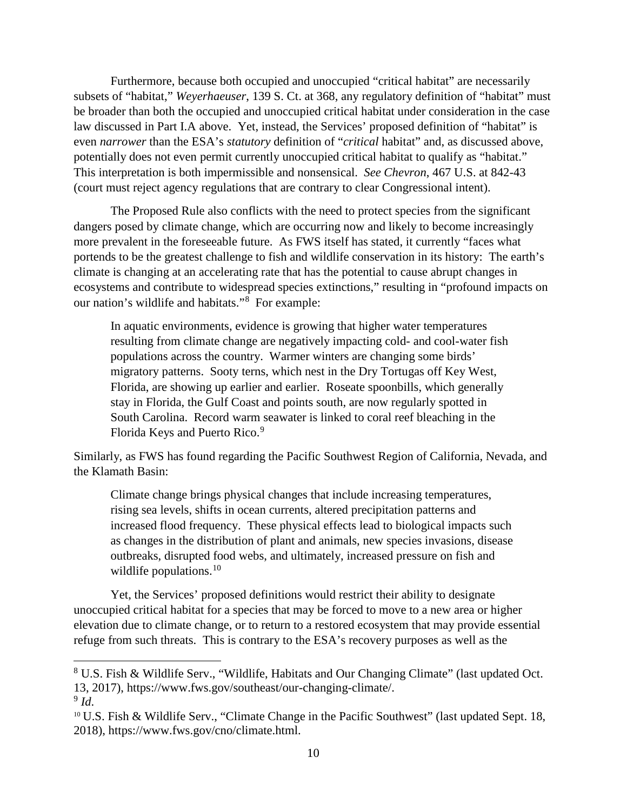Furthermore, because both occupied and unoccupied "critical habitat" are necessarily subsets of "habitat," *Weyerhaeuser*, 139 S. Ct. at 368, any regulatory definition of "habitat" must be broader than both the occupied and unoccupied critical habitat under consideration in the case law discussed in Part I.A above. Yet, instead, the Services' proposed definition of "habitat" is even *narrower* than the ESA's *statutory* definition of "*critical* habitat" and, as discussed above, potentially does not even permit currently unoccupied critical habitat to qualify as "habitat." This interpretation is both impermissible and nonsensical. *See Chevron*, 467 U.S. at 842-43 (court must reject agency regulations that are contrary to clear Congressional intent).

The Proposed Rule also conflicts with the need to protect species from the significant dangers posed by climate change, which are occurring now and likely to become increasingly more prevalent in the foreseeable future. As FWS itself has stated, it currently "faces what portends to be the greatest challenge to fish and wildlife conservation in its history: The earth's climate is changing at an accelerating rate that has the potential to cause abrupt changes in ecosystems and contribute to widespread species extinctions," resulting in "profound impacts on our nation's wildlife and habitats."[8](#page-9-0) For example:

In aquatic environments, evidence is growing that higher water temperatures resulting from climate change are negatively impacting cold- and cool-water fish populations across the country. Warmer winters are changing some birds' migratory patterns. Sooty terns, which nest in the Dry Tortugas off Key West, Florida, are showing up earlier and earlier. Roseate spoonbills, which generally stay in Florida, the Gulf Coast and points south, are now regularly spotted in South Carolina. Record warm seawater is linked to coral reef bleaching in the Florida Keys and Puerto Rico.<sup>[9](#page-9-1)</sup>

Similarly, as FWS has found regarding the Pacific Southwest Region of California, Nevada, and the Klamath Basin:

Climate change brings physical changes that include increasing temperatures, rising sea levels, shifts in ocean currents, altered precipitation patterns and increased flood frequency. These physical effects lead to biological impacts such as changes in the distribution of plant and animals, new species invasions, disease outbreaks, disrupted food webs, and ultimately, increased pressure on fish and wildlife populations. $10$ 

Yet, the Services' proposed definitions would restrict their ability to designate unoccupied critical habitat for a species that may be forced to move to a new area or higher elevation due to climate change, or to return to a restored ecosystem that may provide essential refuge from such threats. This is contrary to the ESA's recovery purposes as well as the

 $\overline{a}$ 

<span id="page-9-0"></span><sup>8</sup> U.S. Fish & Wildlife Serv., "Wildlife, Habitats and Our Changing Climate" (last updated Oct. 13, 2017), https://www.fws.gov/southeast/our-changing-climate/.

<span id="page-9-1"></span> $9$  *Id.* 

<span id="page-9-2"></span><sup>&</sup>lt;sup>10</sup> U.S. Fish & Wildlife Serv., "Climate Change in the Pacific Southwest" (last updated Sept. 18, 2018), https://www.fws.gov/cno/climate.html.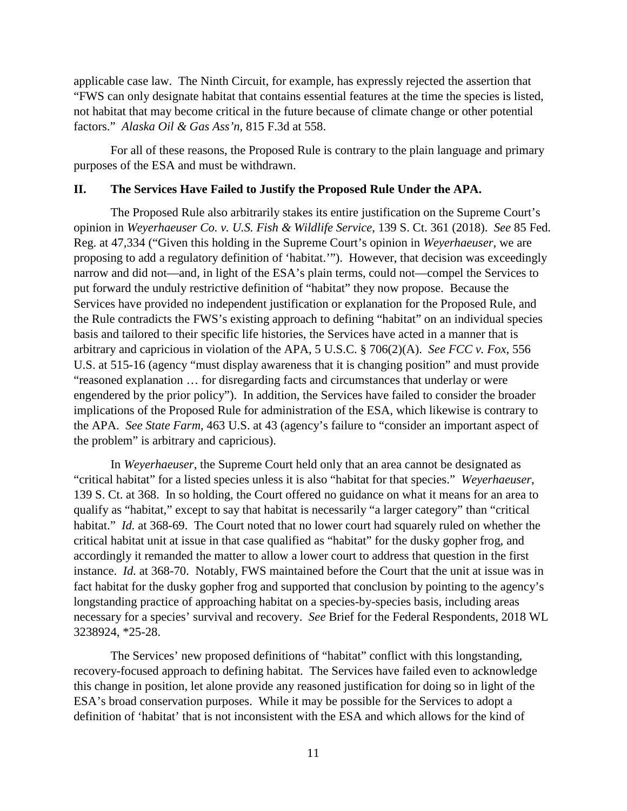applicable case law. The Ninth Circuit, for example, has expressly rejected the assertion that "FWS can only designate habitat that contains essential features at the time the species is listed, not habitat that may become critical in the future because of climate change or other potential factors." *Alaska Oil & Gas Ass'n*, 815 F.3d at 558.

 For all of these reasons, the Proposed Rule is contrary to the plain language and primary purposes of the ESA and must be withdrawn.

### **II. The Services Have Failed to Justify the Proposed Rule Under the APA.**

 The Proposed Rule also arbitrarily stakes its entire justification on the Supreme Court's opinion in *Weyerhaeuser Co. v. U.S. Fish & Wildlife Service*, 139 S. Ct. 361 (2018). *See* 85 Fed. Reg. at 47,334 ("Given this holding in the Supreme Court's opinion in *Weyerhaeuser*, we are proposing to add a regulatory definition of 'habitat.'"). However, that decision was exceedingly narrow and did not—and, in light of the ESA's plain terms, could not—compel the Services to put forward the unduly restrictive definition of "habitat" they now propose. Because the Services have provided no independent justification or explanation for the Proposed Rule, and the Rule contradicts the FWS's existing approach to defining "habitat" on an individual species basis and tailored to their specific life histories, the Services have acted in a manner that is arbitrary and capricious in violation of the APA, 5 U.S.C. § 706(2)(A). *See FCC v. Fox*, 556 U.S. at 515-16 (agency "must display awareness that it is changing position" and must provide "reasoned explanation … for disregarding facts and circumstances that underlay or were engendered by the prior policy"). In addition, the Services have failed to consider the broader implications of the Proposed Rule for administration of the ESA, which likewise is contrary to the APA. *See State Farm*, 463 U.S. at 43 (agency's failure to "consider an important aspect of the problem" is arbitrary and capricious).

In *Weyerhaeuser*, the Supreme Court held only that an area cannot be designated as "critical habitat" for a listed species unless it is also "habitat for that species." *Weyerhaeuser*, 139 S. Ct. at 368. In so holding, the Court offered no guidance on what it means for an area to qualify as "habitat," except to say that habitat is necessarily "a larger category" than "critical habitat." *Id.* at 368-69. The Court noted that no lower court had squarely ruled on whether the critical habitat unit at issue in that case qualified as "habitat" for the dusky gopher frog, and accordingly it remanded the matter to allow a lower court to address that question in the first instance. *Id.* at 368-70. Notably, FWS maintained before the Court that the unit at issue was in fact habitat for the dusky gopher frog and supported that conclusion by pointing to the agency's longstanding practice of approaching habitat on a species-by-species basis, including areas necessary for a species' survival and recovery. *See* Brief for the Federal Respondents, 2018 WL 3238924, \*25-28.

The Services' new proposed definitions of "habitat" conflict with this longstanding, recovery-focused approach to defining habitat. The Services have failed even to acknowledge this change in position, let alone provide any reasoned justification for doing so in light of the ESA's broad conservation purposes. While it may be possible for the Services to adopt a definition of 'habitat' that is not inconsistent with the ESA and which allows for the kind of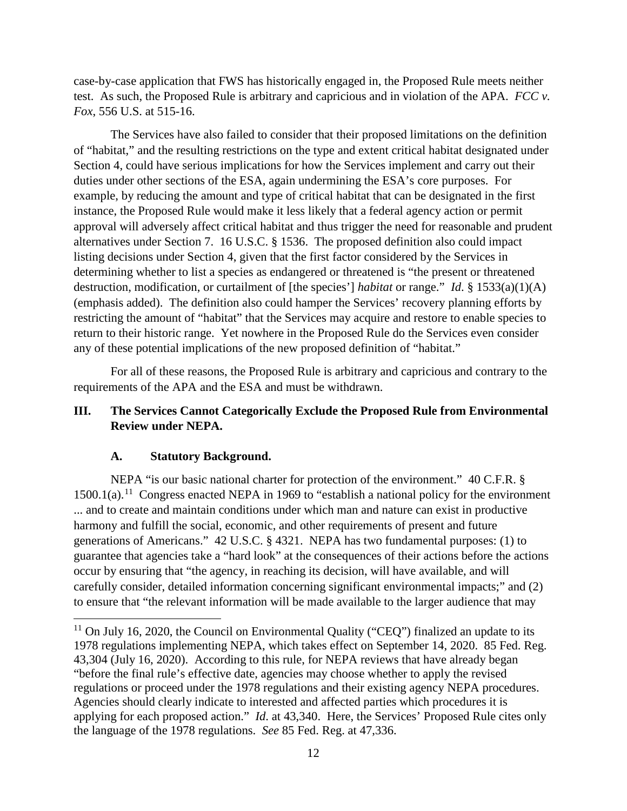case-by-case application that FWS has historically engaged in, the Proposed Rule meets neither test. As such, the Proposed Rule is arbitrary and capricious and in violation of the APA. *FCC v. Fox*, 556 U.S. at 515-16.

The Services have also failed to consider that their proposed limitations on the definition of "habitat," and the resulting restrictions on the type and extent critical habitat designated under Section 4, could have serious implications for how the Services implement and carry out their duties under other sections of the ESA, again undermining the ESA's core purposes. For example, by reducing the amount and type of critical habitat that can be designated in the first instance, the Proposed Rule would make it less likely that a federal agency action or permit approval will adversely affect critical habitat and thus trigger the need for reasonable and prudent alternatives under Section 7. 16 U.S.C. § 1536. The proposed definition also could impact listing decisions under Section 4, given that the first factor considered by the Services in determining whether to list a species as endangered or threatened is "the present or threatened destruction, modification, or curtailment of [the species'] *habitat* or range." *Id*. § 1533(a)(1)(A) (emphasis added). The definition also could hamper the Services' recovery planning efforts by restricting the amount of "habitat" that the Services may acquire and restore to enable species to return to their historic range. Yet nowhere in the Proposed Rule do the Services even consider any of these potential implications of the new proposed definition of "habitat."

 For all of these reasons, the Proposed Rule is arbitrary and capricious and contrary to the requirements of the APA and the ESA and must be withdrawn.

## **III. The Services Cannot Categorically Exclude the Proposed Rule from Environmental Review under NEPA.**

## **A. Statutory Background.**

 $\overline{\phantom{a}}$ 

NEPA "is our basic national charter for protection of the environment." 40 C.F.R. § 1500.1(a).<sup>11</sup> Congress enacted NEPA in 1969 to "establish a national policy for the environment ... and to create and maintain conditions under which man and nature can exist in productive harmony and fulfill the social, economic, and other requirements of present and future generations of Americans." 42 U.S.C. § 4321. NEPA has two fundamental purposes: (1) to guarantee that agencies take a "hard look" at the consequences of their actions before the actions occur by ensuring that "the agency, in reaching its decision, will have available, and will carefully consider, detailed information concerning significant environmental impacts;" and (2) to ensure that "the relevant information will be made available to the larger audience that may

<span id="page-11-0"></span> $11$  On July 16, 2020, the Council on Environmental Quality ("CEO") finalized an update to its 1978 regulations implementing NEPA, which takes effect on September 14, 2020. 85 Fed. Reg. 43,304 (July 16, 2020). According to this rule, for NEPA reviews that have already began "before the final rule's effective date, agencies may choose whether to apply the revised regulations or proceed under the 1978 regulations and their existing agency NEPA procedures. Agencies should clearly indicate to interested and affected parties which procedures it is applying for each proposed action." *Id*. at 43,340. Here, the Services' Proposed Rule cites only the language of the 1978 regulations. *See* 85 Fed. Reg. at 47,336.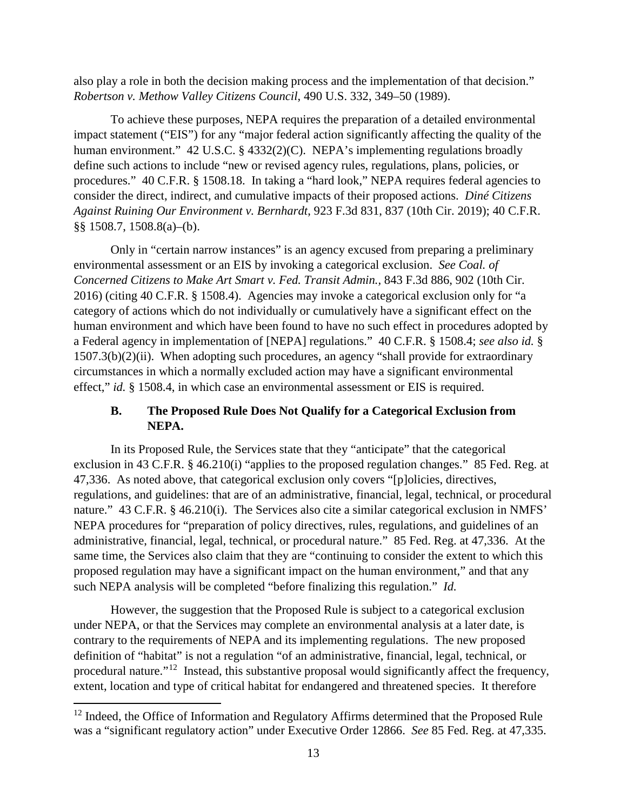also play a role in both the decision making process and the implementation of that decision." *Robertson v. Methow Valley Citizens Council*, 490 U.S. 332, 349–50 (1989).

To achieve these purposes, NEPA requires the preparation of a detailed environmental impact statement ("EIS") for any "major federal action significantly affecting the quality of the human environment." 42 U.S.C. § 4332(2)(C). NEPA's implementing regulations broadly define such actions to include "new or revised agency rules, regulations, plans, policies, or procedures." 40 C.F.R. § 1508.18. In taking a "hard look," NEPA requires federal agencies to consider the direct, indirect, and cumulative impacts of their proposed actions. *Diné Citizens Against Ruining Our Environment v. Bernhardt*, 923 F.3d 831, 837 (10th Cir. 2019); 40 C.F.R. §§ 1508.7, 1508.8(a)–(b).

Only in "certain narrow instances" is an agency excused from preparing a preliminary environmental assessment or an EIS by invoking a categorical exclusion. *See Coal. of Concerned Citizens to Make Art Smart v. Fed. Transit Admin.,* 843 F.3d 886, 902 (10th Cir. 2016) (citing 40 C.F.R. § 1508.4). Agencies may invoke a categorical exclusion only for "a category of actions which do not individually or cumulatively have a significant effect on the human environment and which have been found to have no such effect in procedures adopted by a Federal agency in implementation of [NEPA] regulations." 40 C.F.R. § 1508.4; *see also id.* § 1507.3(b)(2)(ii). When adopting such procedures, an agency "shall provide for extraordinary circumstances in which a normally excluded action may have a significant environmental effect," *id.* § 1508.4, in which case an environmental assessment or EIS is required.

## **B. The Proposed Rule Does Not Qualify for a Categorical Exclusion from NEPA.**

In its Proposed Rule, the Services state that they "anticipate" that the categorical exclusion in 43 C.F.R. § 46.210(i) "applies to the proposed regulation changes." 85 Fed. Reg. at 47,336. As noted above, that categorical exclusion only covers "[p]olicies, directives, regulations, and guidelines: that are of an administrative, financial, legal, technical, or procedural nature." 43 C.F.R. § 46.210(i). The Services also cite a similar categorical exclusion in NMFS' NEPA procedures for "preparation of policy directives, rules, regulations, and guidelines of an administrative, financial, legal, technical, or procedural nature." 85 Fed. Reg. at 47,336. At the same time, the Services also claim that they are "continuing to consider the extent to which this proposed regulation may have a significant impact on the human environment," and that any such NEPA analysis will be completed "before finalizing this regulation." *Id.*

However, the suggestion that the Proposed Rule is subject to a categorical exclusion under NEPA, or that the Services may complete an environmental analysis at a later date, is contrary to the requirements of NEPA and its implementing regulations. The new proposed definition of "habitat" is not a regulation "of an administrative, financial, legal, technical, or procedural nature."[12](#page-12-0) Instead, this substantive proposal would significantly affect the frequency, extent, location and type of critical habitat for endangered and threatened species. It therefore

l

<span id="page-12-0"></span> $12$  Indeed, the Office of Information and Regulatory Affirms determined that the Proposed Rule was a "significant regulatory action" under Executive Order 12866. *See* 85 Fed. Reg. at 47,335.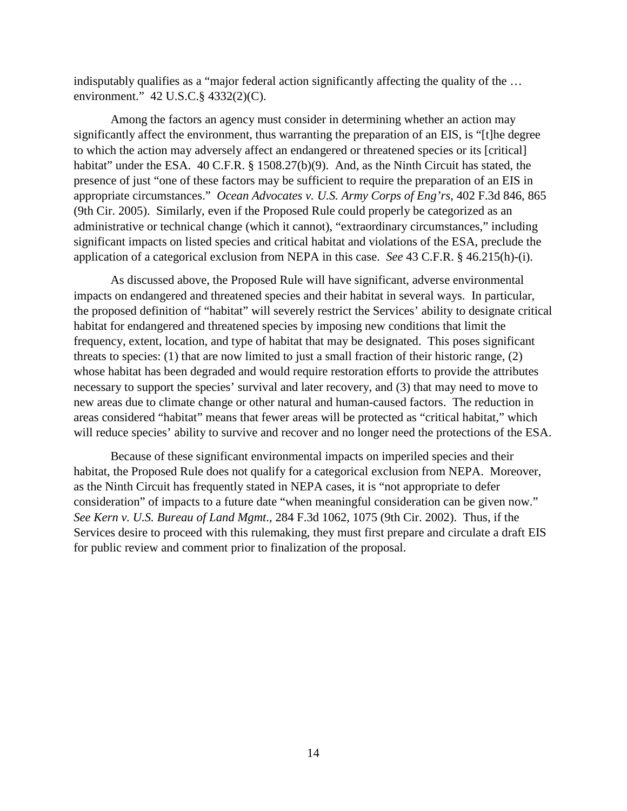indisputably qualifies as a "major federal action significantly affecting the quality of the … environment." 42 U.S.C.§ 4332(2)(C).

Among the factors an agency must consider in determining whether an action may significantly affect the environment, thus warranting the preparation of an EIS, is "[t]he degree to which the action may adversely affect an endangered or threatened species or its [critical] habitat" under the ESA. 40 C.F.R. § 1508.27(b)(9). And, as the Ninth Circuit has stated, the presence of just "one of these factors may be sufficient to require the preparation of an EIS in appropriate circumstances." *Ocean Advocates v. U.S. Army Corps of Eng'rs*, 402 F.3d 846, 865 (9th Cir. 2005). Similarly, even if the Proposed Rule could properly be categorized as an administrative or technical change (which it cannot), "extraordinary circumstances," including significant impacts on listed species and critical habitat and violations of the ESA, preclude the application of a categorical exclusion from NEPA in this case. *See* 43 C.F.R. § 46.215(h)-(i).

As discussed above, the Proposed Rule will have significant, adverse environmental impacts on endangered and threatened species and their habitat in several ways. In particular, the proposed definition of "habitat" will severely restrict the Services' ability to designate critical habitat for endangered and threatened species by imposing new conditions that limit the frequency, extent, location, and type of habitat that may be designated. This poses significant threats to species: (1) that are now limited to just a small fraction of their historic range, (2) whose habitat has been degraded and would require restoration efforts to provide the attributes necessary to support the species' survival and later recovery, and (3) that may need to move to new areas due to climate change or other natural and human-caused factors. The reduction in areas considered "habitat" means that fewer areas will be protected as "critical habitat," which will reduce species' ability to survive and recover and no longer need the protections of the ESA.

Because of these significant environmental impacts on imperiled species and their habitat, the Proposed Rule does not qualify for a categorical exclusion from NEPA. Moreover, as the Ninth Circuit has frequently stated in NEPA cases, it is "not appropriate to defer consideration" of impacts to a future date "when meaningful consideration can be given now." *See Kern v. U.S. Bureau of Land Mgmt*., 284 F.3d 1062, 1075 (9th Cir. 2002). Thus, if the Services desire to proceed with this rulemaking, they must first prepare and circulate a draft EIS for public review and comment prior to finalization of the proposal.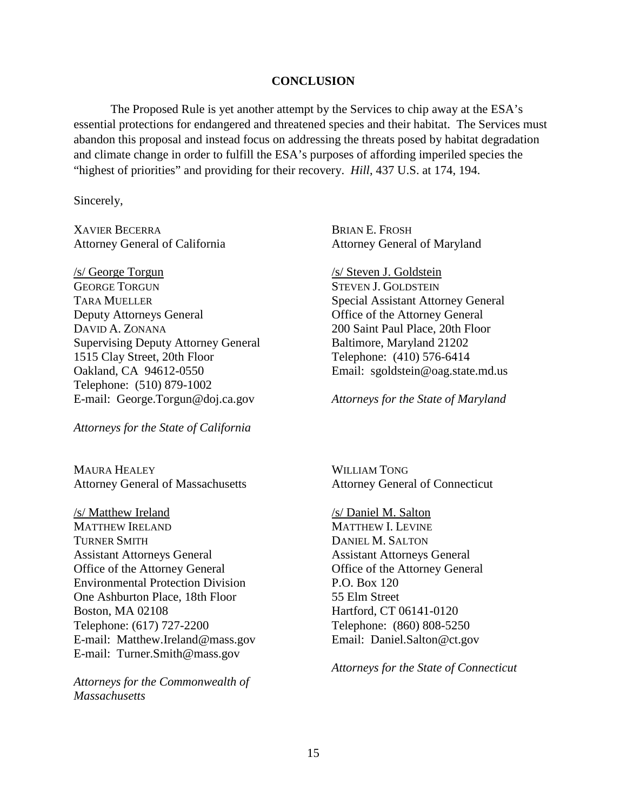#### **CONCLUSION**

The Proposed Rule is yet another attempt by the Services to chip away at the ESA's essential protections for endangered and threatened species and their habitat. The Services must abandon this proposal and instead focus on addressing the threats posed by habitat degradation and climate change in order to fulfill the ESA's purposes of affording imperiled species the "highest of priorities" and providing for their recovery. *Hill*, 437 U.S. at 174, 194.

Sincerely,

XAVIER BECERRA BRIAN E. FROSH Attorney General of California Attorney General of Maryland

/s/ George Torgun /s/ Steven J. Goldstein GEORGE TORGUN STEVEN J. GOLDSTEIN TARA MUELLER Special Assistant Attorney General Deputy Attorneys General Office of the Attorney General DAVID A. ZONANA 200 Saint Paul Place, 20th Floor Supervising Deputy Attorney General Baltimore, Maryland 21202 1515 Clay Street, 20th Floor Telephone: (410) 576-6414 Oakland, CA 94612-0550 Email: sgoldstein@oag.state.md.us Telephone: (510) 879-1002 E-mail: George.Torgun@doj.ca.gov *Attorneys for the State of Maryland* 

*Attorneys for the State of California*

MAURA HEALEY WILLIAM TONG Attorney General of Massachusetts Attorney General of Connecticut

/s/ Matthew Ireland /s/ Daniel M. Salton MATTHEW IRELAND MATTHEW I. LEVINE TURNER SMITH DANIEL M. SALTON Assistant Attorneys General Assistant Attorneys General Office of the Attorney General Office of the Attorney General Environmental Protection Division P.O. Box 120 One Ashburton Place, 18th Floor 55 Elm Street Boston, MA 02108 Hartford, CT 06141-0120 Telephone: (617) 727-2200 Telephone: (860) 808-5250 E-mail: Matthew.Ireland@mass.gov Email: Daniel.Salton@ct.gov E-mail: Turner.Smith@mass.gov

*Attorneys for the Commonwealth of Massachusetts* 

*Attorneys for the State of Connecticut*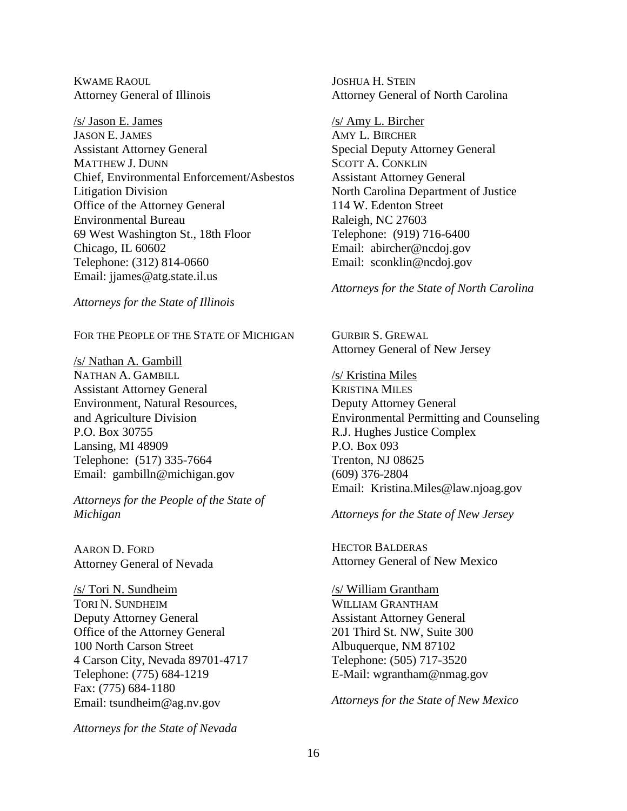KWAME RAOUL **JOSHUA H. STEIN** 

/s/ Jason E. James /s/ Amy L. Bircher JASON E. JAMES AMY L. BIRCHER Assistant Attorney General Special Deputy Attorney General MATTHEW J. DUNN SCOTT A. CONKLIN Chief, Environmental Enforcement/Asbestos Assistant Attorney General Litigation Division North Carolina Department of Justice Office of the Attorney General 114 W. Edenton Street Environmental Bureau Raleigh, NC 27603 69 West Washington St., 18th Floor Telephone: (919) 716-6400 Chicago, IL 60602 Email: abircher@ncdoj.gov Telephone: (312) 814-0660 Email: sconklin@ncdoj.gov Email: jjames@atg.state.il.us

*Attorneys for the State of Illinois*

FOR THE PEOPLE OF THE STATE OF MICHIGAN GURBIR S. GREWAL

/s/ Nathan A. Gambill NATHAN A. GAMBILL /s/ Kristina Miles Assistant Attorney General KRISTINA MILES Environment, Natural Resources, Deputy Attorney General P.O. Box 30755 R.J. Hughes Justice Complex<br>
Lansing. MI 48909 P.O. Box 093 Lansing, MI  $48909$ Telephone: (517) 335-7664 Trenton, NJ 08625 Email: gambilln@michigan.gov (609) 376-2804

*Attorneys for the People of the State of Michigan Attorneys for the State of New Jersey*

AARON D. FORD HECTOR BALDERAS

/s/ Tori N. Sundheim /s/ William Grantham TORI N. SUNDHEIM WILLIAM GRANTHAM Deputy Attorney General Assistant Attorney General Office of the Attorney General 201 Third St. NW, Suite 300 100 North Carson Street Albuquerque, NM 87102 4 Carson City, Nevada 89701-4717 Telephone: (505) 717-3520 Telephone: (775) 684-1219 E-Mail: wgrantham@nmag.gov Fax: (775) 684-1180 Email: tsundheim@ag.nv.gov *Attorneys for the State of New Mexico* 

*Attorneys for the State of Nevada*

Attorney General of Illinois Attorney General of North Carolina

*Attorneys for the State of North Carolina* 

Attorney General of New Jersey

and Agriculture Division Environmental Permitting and Counseling Email: Kristina.Miles@law.njoag.gov

Attorney General of Nevada Attorney General of New Mexico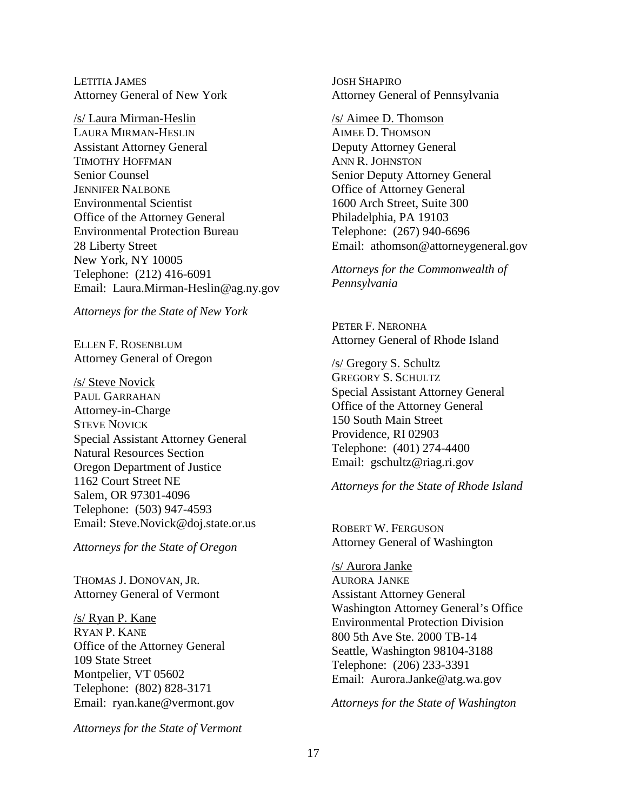LETITIA JAMES JOSH SHAPIRO

/s/ Laura Mirman-Heslin /s/ Aimee D. Thomson LAURA MIRMAN-HESLIN AIMEE D. THOMSON Assistant Attorney General Deputy Attorney General TIMOTHY HOFFMAN ANN R. JOHNSTON Senior Counsel Senior Deputy Attorney General **JENNIFER NALBONE Office of Attorney General** Environmental Scientist 1600 Arch Street, Suite 300 Office of the Attorney General Philadelphia, PA 19103 Environmental Protection Bureau Telephone: (267) 940-6696 28 Liberty Street Email: athomson@attorneygeneral.gov New York, NY 10005 *Attorneys for the Commonwealth of* Telephone: (212) 416-6091 *Pennsylvania* Email: Laura.Mirman-Heslin@ag.ny.gov

*Attorneys for the State of New York*

Attorney General of Oregon /s/ Gregory S. Schultz

**AUL GARRAHAN** Special Assistant Attorney General Attorney-in-Charge Charge Charge Charge Charge Charge Charge Charge Charge Charge Charge Charge Charge Charge Charge Charge Charge Charge Charge Charge Charge Charge Charge Charge Charge Charge Charge Charge Charge Charge THE STEVE NOVICK<br>
STEVE NOVICK<br>
Special Assistant Attorney General<br>
Providence, RI 02903 Special Assistant Attorney General Providence, RI 02903<br>
Natural Resources Section Telephone: (401) 274-4400<br>
Crazon Department of Justice Email: gschultz@riag.ri.gov Oregon Department of Justice 1162 Court Street NE *Attorneys for the State of Rhode Island* Salem, OR 97301-4096 Telephone: (503) 947-4593 Email: Steve.Novick@doj.state.or.us ROBERT W. FERGUSON

THOMAS J. DONOVAN, JR. AURORA JANKE Attorney General of Vermont Assistant Attorney General

RYAN P. KANE<br>Office of the Attorney General 800 5th Ave Ste. 2000 TB-14<br>Seattle Washington 98104-31 Office of the Attorney General<br>
109 State Street Telephone: (206) 233-3391<br>
Montpelier, VT 05602 Email: Aurora.Janke@atg.wa.gov<br>
Telephone: (802) 828-3171

*Attorneys for the State of Vermont*

Attorney General of New York Attorney General of Pennsylvania

PETER F. NERONHA ELLEN F. ROSENBLUM Attorney General of Rhode Island

/s/ Steve Novick GREGORY S. SCHULTZ

Attorney General of Washington *Attorneys for the State of Oregon* 

/s/ Aurora Janke Vashington Attorney General's Office<br> *Nashington Attorney General's Office*<br>
Environmental Protection Division<br>
2006 5th Ave Sta 2000 TP 14

Email: ryan.kane@vermont.gov *Attorneys for the State of Washington*